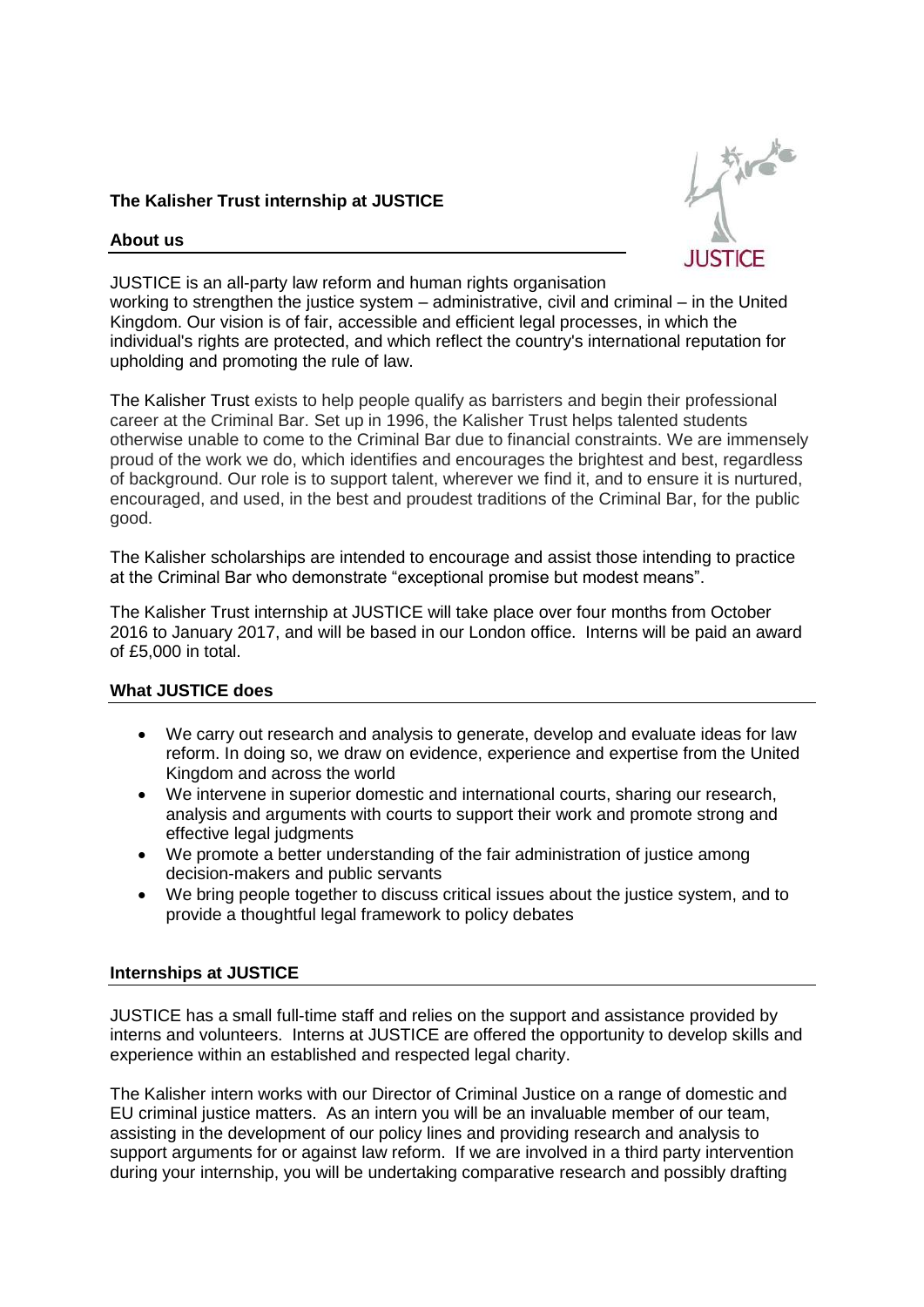## **The Kalisher Trust internship at JUSTICE**

### **About us**



JUSTICE is an all-party law reform and human rights organisation working to strengthen the justice system – administrative, civil and criminal – in the United Kingdom. Our vision is of fair, accessible and efficient legal processes, in which the individual's rights are protected, and which reflect the country's international reputation for upholding and promoting the rule of law.

The Kalisher Trust exists to help people qualify as barristers and begin their professional career at the Criminal Bar. Set up in 1996, the Kalisher Trust helps talented students otherwise unable to come to the Criminal Bar due to financial constraints. We are immensely proud of the work we do, which identifies and encourages the brightest and best, regardless of background. Our role is to support talent, wherever we find it, and to ensure it is nurtured, encouraged, and used, in the best and proudest traditions of the Criminal Bar, for the public good.

The Kalisher scholarships are intended to encourage and assist those intending to practice at the Criminal Bar who demonstrate "exceptional promise but modest means".

The Kalisher Trust internship at JUSTICE will take place over four months from October 2016 to January 2017, and will be based in our London office. Interns will be paid an award of £5,000 in total.

#### **What JUSTICE does**

- We carry out research and analysis to generate, develop and evaluate ideas for law reform. In doing so, we draw on evidence, experience and expertise from the United Kingdom and across the world
- We intervene in superior domestic and international courts, sharing our research, analysis and arguments with courts to support their work and promote strong and effective legal judgments
- We promote a better understanding of the fair administration of justice among decision-makers and public servants
- We bring people together to discuss critical issues about the justice system, and to provide a thoughtful legal framework to policy debates

#### **Internships at JUSTICE**

JUSTICE has a small full-time staff and relies on the support and assistance provided by interns and volunteers. Interns at JUSTICE are offered the opportunity to develop skills and experience within an established and respected legal charity.

The Kalisher intern works with our Director of Criminal Justice on a range of domestic and EU criminal justice matters. As an intern you will be an invaluable member of our team, assisting in the development of our policy lines and providing research and analysis to support arguments for or against law reform. If we are involved in a third party intervention during your internship, you will be undertaking comparative research and possibly drafting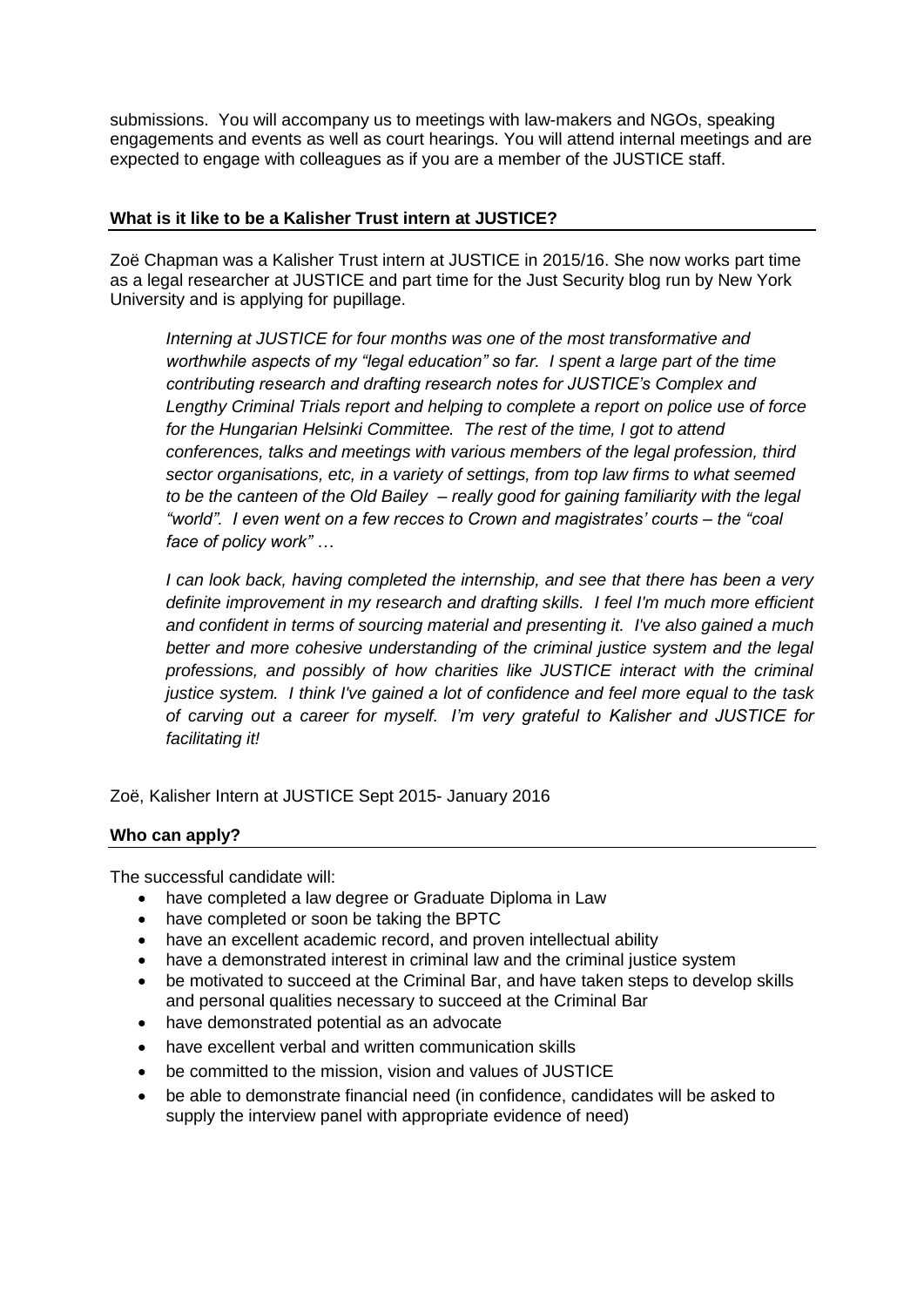submissions. You will accompany us to meetings with law-makers and NGOs, speaking engagements and events as well as court hearings. You will attend internal meetings and are expected to engage with colleagues as if you are a member of the JUSTICE staff.

#### **What is it like to be a Kalisher Trust intern at JUSTICE?**

Zoë Chapman was a Kalisher Trust intern at JUSTICE in 2015/16. She now works part time as a legal researcher at JUSTICE and part time for the Just Security blog run by New York University and is applying for pupillage.

*Interning at JUSTICE for four months was one of the most transformative and worthwhile aspects of my "legal education" so far. I spent a large part of the time contributing research and drafting research notes for JUSTICE's Complex and Lengthy Criminal Trials report and helping to complete a report on police use of force for the Hungarian Helsinki Committee. The rest of the time, I got to attend conferences, talks and meetings with various members of the legal profession, third sector organisations, etc, in a variety of settings, from top law firms to what seemed to be the canteen of the Old Bailey – really good for gaining familiarity with the legal "world". I even went on a few recces to Crown and magistrates' courts – the "coal face of policy work" …* 

*I can look back, having completed the internship, and see that there has been a very definite improvement in my research and drafting skills. I feel I'm much more efficient and confident in terms of sourcing material and presenting it. I've also gained a much better and more cohesive understanding of the criminal justice system and the legal professions, and possibly of how charities like JUSTICE interact with the criminal justice system. I think I've gained a lot of confidence and feel more equal to the task of carving out a career for myself. I'm very grateful to Kalisher and JUSTICE for facilitating it!* 

Zoë, Kalisher Intern at JUSTICE Sept 2015- January 2016

# **Who can apply?**

The successful candidate will:

- have completed a law degree or Graduate Diploma in Law
- have completed or soon be taking the BPTC
- have an excellent academic record, and proven intellectual ability
- have a demonstrated interest in criminal law and the criminal justice system
- be motivated to succeed at the Criminal Bar, and have taken steps to develop skills and personal qualities necessary to succeed at the Criminal Bar
- have demonstrated potential as an advocate
- have excellent verbal and written communication skills
- be committed to the mission, vision and values of JUSTICE
- be able to demonstrate financial need (in confidence, candidates will be asked to supply the interview panel with appropriate evidence of need)